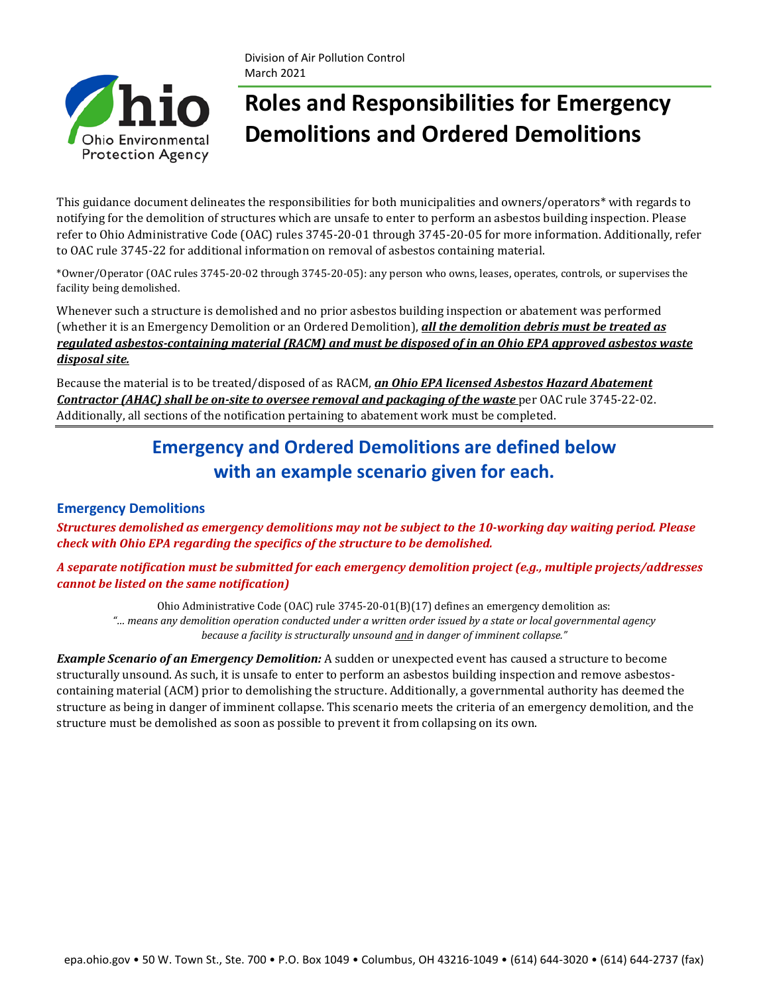# **Roles and Responsibilities for Emergency Demolitions and Ordered Demolitions**

This guidance document delineates the responsibilities for both municipalities and owners/operators\* with regards to notifying for the demolition of structures which are unsafe to enter to perform an asbestos building inspection. Please refer to Ohio Administrative Code (OAC) rules 3745-20-01 through 3745-20-05 for more information. Additionally, refer to OAC rule 3745-22 for additional information on removal of asbestos containing material.

\*Owner/Operator (OAC rules 3745-20-02 through 3745-20-05): any person who owns, leases, operates, controls, or supervises the facility being demolished.

Whenever such a structure is demolished and no prior asbestos building inspection or abatement was performed (whether it is an Emergency Demolition or an Ordered Demolition), *all the demolition debris must be treated as regulated asbestos-containing material (RACM) and must be disposed of in an Ohio EPA approved asbestos waste disposal site.* 

Because the material is to be treated/disposed of as RACM, *an Ohio EPA licensed Asbestos Hazard Abatement Contractor (AHAC) shall be on-site to oversee removal and packaging of the waste* per OAC rule 3745-22-02. Additionally, all sections of the notification pertaining to abatement work must be completed.

# **Emergency and Ordered Demolitions are defined below with an example scenario given for each.**

#### **Emergency Demolitions**

*Structures demolished as emergency demolitions may not be subject to the 10-working day waiting period. Please check with Ohio EPA regarding the specifics of the structure to be demolished.*

*A separate notification must be submitted for each emergency demolition project (e.g., multiple projects/addresses cannot be listed on the same notification)*

Ohio Administrative Code (OAC) rule 3745-20-01(B)(17) defines an emergency demolition as: *"… means any demolition operation conducted under a written order issued by a state or local governmental agency because a facility is structurally unsound and in danger of imminent collapse."*

*Example Scenario of an Emergency Demolition:* A sudden or unexpected event has caused a structure to become structurally unsound. As such, it is unsafe to enter to perform an asbestos building inspection and remove asbestoscontaining material (ACM) prior to demolishing the structure. Additionally, a governmental authority has deemed the structure as being in danger of imminent collapse. This scenario meets the criteria of an emergency demolition, and the structure must be demolished as soon as possible to prevent it from collapsing on its own.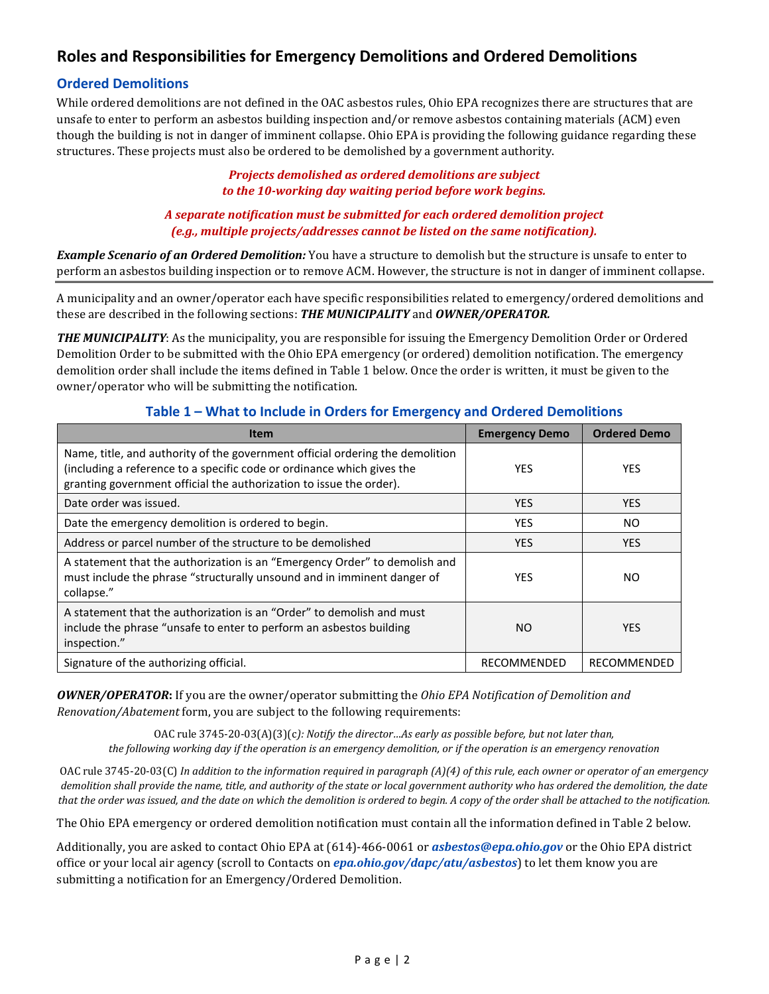## **Roles and Responsibilities for Emergency Demolitions and Ordered Demolitions**

#### **Ordered Demolitions**

While ordered demolitions are not defined in the OAC asbestos rules, Ohio EPA recognizes there are structures that are unsafe to enter to perform an asbestos building inspection and/or remove asbestos containing materials (ACM) even though the building is not in danger of imminent collapse. Ohio EPA is providing the following guidance regarding these structures. These projects must also be ordered to be demolished by a government authority.

#### *Projects demolished as ordered demolitions are subject to the 10-working day waiting period before work begins.*

*A separate notification must be submitted for each ordered demolition project (e.g., multiple projects/addresses cannot be listed on the same notification).*

*Example Scenario of an Ordered Demolition:* You have a structure to demolish but the structure is unsafe to enter to perform an asbestos building inspection or to remove ACM. However, the structure is not in danger of imminent collapse.

A municipality and an owner/operator each have specific responsibilities related to emergency/ordered demolitions and these are described in the following sections: *THE MUNICIPALITY* and *OWNER/OPERATOR.*

*THE MUNICIPALITY*: As the municipality, you are responsible for issuing the Emergency Demolition Order or Ordered Demolition Order to be submitted with the Ohio EPA emergency (or ordered) demolition notification. The emergency demolition order shall include the items defined in Table 1 below. Once the order is written, it must be given to the owner/operator who will be submitting the notification.

| <b>Item</b>                                                                                                                                                                                                                    | <b>Emergency Demo</b> | <b>Ordered Demo</b> |
|--------------------------------------------------------------------------------------------------------------------------------------------------------------------------------------------------------------------------------|-----------------------|---------------------|
| Name, title, and authority of the government official ordering the demolition<br>(including a reference to a specific code or ordinance which gives the<br>granting government official the authorization to issue the order). | <b>YES</b>            | <b>YES</b>          |
| Date order was issued.                                                                                                                                                                                                         | <b>YES</b>            | YES.                |
| Date the emergency demolition is ordered to begin.                                                                                                                                                                             | <b>YES</b>            | NO.                 |
| Address or parcel number of the structure to be demolished                                                                                                                                                                     | <b>YES</b>            | <b>YES</b>          |
| A statement that the authorization is an "Emergency Order" to demolish and<br>must include the phrase "structurally unsound and in imminent danger of<br>collapse."                                                            | <b>YES</b>            | NO.                 |
| A statement that the authorization is an "Order" to demolish and must<br>include the phrase "unsafe to enter to perform an asbestos building<br>inspection."                                                                   | NO.                   | <b>YES</b>          |
| Signature of the authorizing official.                                                                                                                                                                                         | RECOMMENDED           | RECOMMENDED         |

#### **Table 1 – What to Include in Orders for Emergency and Ordered Demolitions**

*OWNER/OPERATOR***:** If you are the owner/operator submitting the *Ohio EPA Notification of Demolition and Renovation/Abatement* form, you are subject to the following requirements:

OAC rule 3745-20-03(A)(3)(c*): Notify the director…As early as possible before, but not later than, the following working day if the operation is an emergency demolition, or if the operation is an emergency renovation*

OAC rule 3745-20-03(C) *In addition to the information required in paragraph (A)(4) of this rule, each owner or operator of an emergency demolition shall provide the name, title, and authority of the state or local government authority who has ordered the demolition, the date that the order was issued, and the date on which the demolition is ordered to begin. A copy of the order shall be attached to the notification.*

The Ohio EPA emergency or ordered demolition notification must contain all the information defined in Table 2 below.

Additionally, you are asked to contact Ohio EPA at (614)-466-0061 or *[asbestos@epa.ohio.gov](mailto:asbestos@epa.ohio.gov)* or the Ohio EPA district office or your local air agency (scroll to Contacts on *[epa.ohio.gov/dapc/atu/asbestos](https://epa.ohio.gov/dapc/atu/asbestos)*) to let them know you are submitting a notification for an Emergency/Ordered Demolition.